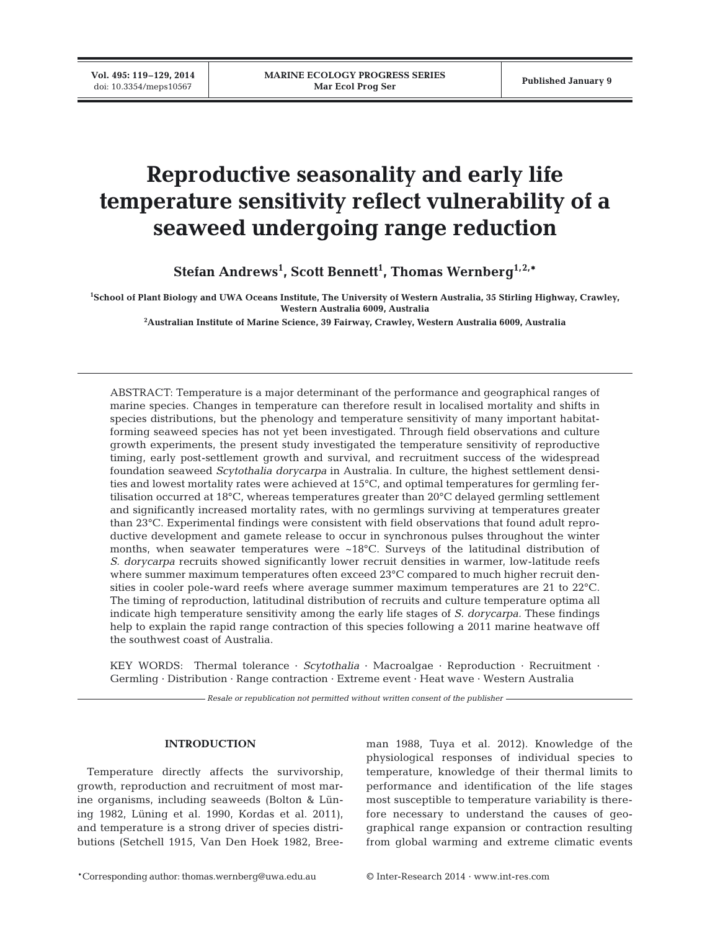**Vol. 495: 119–129, 2014**

# **Reproductive seasonality and early life temperature sensitivity reflect vulnerability of a seaweed undergoing range reduction**

**Stefan Andrews1 , Scott Bennett1 , Thomas Wernberg1,2,\***

**1 School of Plant Biology and UWA Oceans Institute, The University of Western Australia, 35 Stirling Highway, Crawley, Western Australia 6009, Australia**

**2 Australian Institute of Marine Science, 39 Fairway, Crawley, Western Australia 6009, Australia**

ABSTRACT: Temperature is a major determinant of the performance and geographical ranges of marine species. Changes in temperature can therefore result in localised mortality and shifts in species distributions, but the phenology and temperature sensitivity of many important habitatforming seaweed species has not yet been investigated. Through field observations and culture growth experiments, the present study investigated the temperature sensitivity of reproductive timing, early post-settlement growth and survival, and recruitment success of the widespread foundation seaweed *Scytothalia dorycarpa* in Australia. In culture, the highest settlement densities and lowest mortality rates were achieved at 15°C, and optimal temperatures for germling fertilisation occurred at 18°C, whereas temperatures greater than 20°C delayed germling settlement and significantly increased mortality rates, with no germlings surviving at temperatures greater than 23°C. Experimental findings were consistent with field observations that found adult reproductive development and gamete release to occur in synchronous pulses throughout the winter months, when seawater temperatures were  $~18^{\circ}$ C. Surveys of the latitudinal distribution of *S. dorycarpa* recruits showed significantly lower recruit densities in warmer, low-latitude reefs where summer maximum temperatures often exceed 23°C compared to much higher recruit densities in cooler pole-ward reefs where average summer maximum temperatures are 21 to 22°C. The timing of reproduction, latitudinal distribution of recruits and culture temperature optima all indicate high temperature sensitivity among the early life stages of *S. dorycarpa.* These findings help to explain the rapid range contraction of this species following a 2011 marine heatwave off the southwest coast of Australia.

KEY WORDS: Thermal tolerance · *Scytothalia* · Macroalgae · Reproduction · Recruitment · Germling · Distribution · Range contraction · Extreme event · Heat wave · Western Australia

*Resale or republication not permitted without written consent of the publisher*

# **INTRODUCTION**

Temperature directly affects the survivorship, growth, reproduction and recruitment of most marine organisms, including seaweeds (Bolton & Lüning 1982, Lüning et al. 1990, Kordas et al. 2011), and temperature is a strong driver of species distributions (Setchell 1915, Van Den Hoek 1982, Breeman 1988, Tuya et al. 2012). Knowledge of the physiological responses of individual species to temperature, knowledge of their thermal limits to performance and identification of the life stages most susceptible to temperature variability is therefore necessary to understand the causes of geographical range expansion or contraction resulting from global warming and extreme climatic events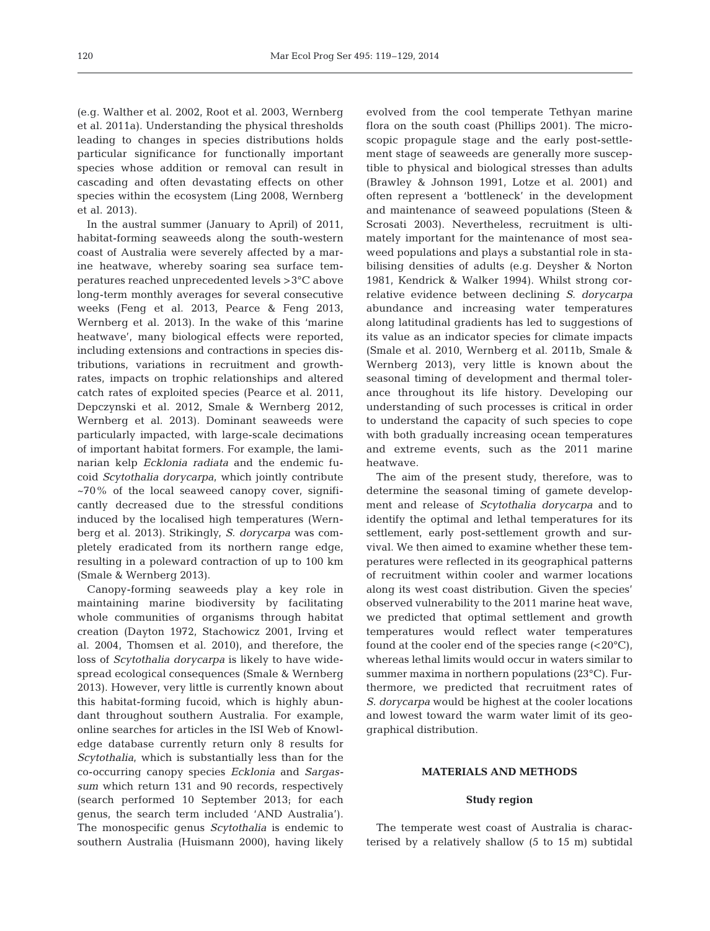(e.g. Walther et al. 2002, Root et al. 2003, Wernberg et al. 2011a). Understanding the physical thresholds leading to changes in species distributions holds particular significance for functionally important species whose addition or removal can result in cascading and often devastating effects on other species within the ecosystem (Ling 2008, Wernberg et al. 2013).

In the austral summer (January to April) of 2011, habitat-forming seaweeds along the south-western coast of Australia were severely affected by a mar ine heatwave, whereby soaring sea surface temperatures reached unprecedented levels >3°C above long-term monthly averages for several consecutive weeks (Feng et al. 2013, Pearce & Feng 2013, Wernberg et al. 2013). In the wake of this 'marine heatwave', many biological effects were reported, including extensions and contractions in species distributions, variations in recruitment and growthrates, impacts on trophic relationships and altered catch rates of exploited species (Pearce et al. 2011, Depczynski et al. 2012, Smale & Wernberg 2012, Wernberg et al. 2013). Dominant seaweeds were particularly impacted, with large-scale decimations of important habitat formers. For example, the lami narian kelp *Ecklonia radiata* and the endemic fucoid *Scytothalia dorycarpa*, which jointly contribute  $~1$ -70% of the local seaweed canopy cover, significantly decreased due to the stressful conditions induced by the localised high temperatures (Wernberg et al. 2013). Strikingly, *S. dorycarpa* was completely eradicated from its northern range edge, resulting in a poleward contraction of up to 100 km (Smale & Wernberg 2013).

Canopy-forming seaweeds play a key role in maintaining marine biodiversity by facilitating whole communities of organisms through habitat creation (Dayton 1972, Stachowicz 2001, Irving et al. 2004, Thomsen et al. 2010), and therefore, the loss of *Scyto thalia dorycarpa* is likely to have widespread ecological consequences (Smale & Wernberg 2013). However, very little is currently known about this habitat-forming fucoid, which is highly abundant throughout southern Australia. For example, online searches for articles in the ISI Web of Knowledge database currently return only 8 results for *Scyto thalia*, which is substantially less than for the co-occurring canopy species *Ecklonia* and *Sargassum* which return 131 and 90 records, respectively (search performed 10 September 2013; for each genus, the search term included 'AND Australia'). The monospecific genus *Scytothalia* is endemic to southern Australia (Huismann 2000), having likely

evolved from the cool temperate Tethyan marine flora on the south coast (Phillips 2001). The microscopic propagule stage and the early post-settlement stage of seaweeds are generally more susceptible to physical and biological stresses than adults (Brawley & Johnson 1991, Lotze et al. 2001) and often represent a 'bottleneck' in the development and main tenance of seaweed populations (Steen & Scrosati 2003). Nevertheless, recruitment is ultimately important for the maintenance of most seaweed populations and plays a substantial role in stabilising densities of adults (e.g. Deysher & Norton 1981, Kendrick & Walker 1994). Whilst strong correlative evidence between declining *S. dorycarpa* abundance and increasing water temperatures along latitudinal gradients has led to suggestions of its value as an indicator species for climate impacts (Smale et al. 2010, Wernberg et al. 2011b, Smale & Wernberg 2013), very little is known about the seasonal timing of development and thermal tolerance throughout its life history. Developing our understanding of such processes is critical in order to understand the capacity of such species to cope with both gradually increasing ocean temperatures and extreme events, such as the 2011 marine heatwave.

The aim of the present study, therefore, was to determine the seasonal timing of gamete development and release of *Scytothalia dorycarpa* and to identify the optimal and lethal temperatures for its settlement, early post-settlement growth and survival. We then aimed to examine whether these temperatures were reflected in its geographical patterns of recruitment within cooler and warmer locations along its west coast distribution. Given the species' observed vulnerability to the 2011 marine heat wave, we predicted that optimal settlement and growth tem peratures would reflect water temperatures found at the cooler end of the species range  $(<20^{\circ}C$ ), whereas lethal limits would occur in waters similar to summer maxima in northern populations (23°C). Furthermore, we predicted that recruitment rates of *S. dorycarpa* would be highest at the cooler locations and lowest toward the warm water limit of its geographical distribution.

### **MATERIALS AND METHODS**

#### **Study region**

The temperate west coast of Australia is characterised by a relatively shallow (5 to 15 m) subtidal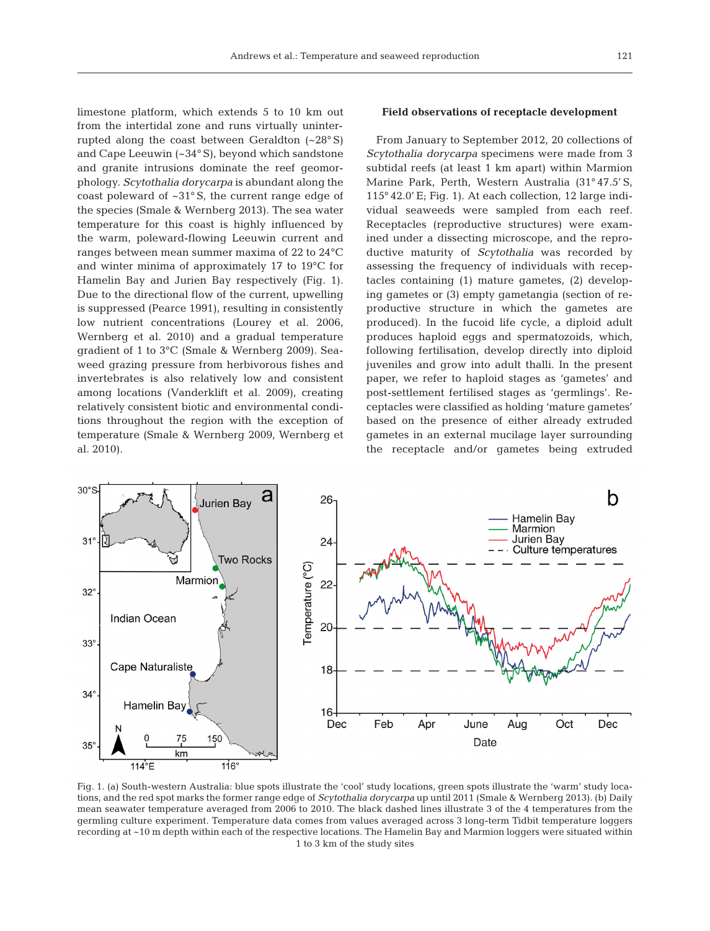limestone platform, which extends 5 to 10 km out from the intertidal zone and runs virtually uninterrupted along the coast between Geraldton (~28° S) and Cape Leeuwin (~34° S), beyond which sandstone and granite intrusions dominate the reef geomorphology. *Scytothalia dorycarpa* is abundant along the coast poleward of ~31° S, the current range edge of the species (Smale & Wernberg 2013). The sea water temperature for this coast is highly influenced by the warm, poleward-flowing Leeuwin current and ranges between mean summer maxima of 22 to 24°C and winter minima of approximately 17 to 19°C for Hamelin Bay and Jurien Bay respectively (Fig. 1). Due to the directional flow of the current, upwelling is suppressed (Pearce 1991), resulting in consistently low nutrient concentrations (Lourey et al. 2006, Wern berg et al. 2010) and a gradual temperature gradient of 1 to 3°C (Smale & Wernberg 2009). Seaweed grazing pressure from herbivorous fishes and invertebrates is also relatively low and consistent among locations (Vanderklift et al. 2009), creating relatively consistent biotic and environmental conditions throughout the region with the exception of temperature (Smale & Wernberg 2009, Wernberg et al. 2010).

#### **Field observations of receptacle development**

From January to September 2012, 20 collections of *Scytothalia dorycarpa* specimens were made from 3 subtidal reefs (at least 1 km apart) within Marmion Marine Park, Perth, Western Australia (31° 47.5' S, 115° 42.0' E; Fig. 1). At each collection, 12 large individual seaweeds were sampled from each reef. Receptacles (reproductive structures) were examined under a dissecting microscope, and the reproductive maturity of *Scytothalia* was recorded by assessing the frequency of individuals with recep tacles containing (1) mature gametes, (2) developing gametes or (3) empty gametangia (section of re productive structure in which the gametes are produced). In the fucoid life cycle, a diploid adult produces haploid eggs and spermatozoids, which, following fertilisation, develop directly into diploid juveniles and grow into adult thalli. In the present paper, we refer to haploid stages as 'gametes' and post-settlement fertilised stages as 'germlings'. Re ceptacles were classified as holding 'mature gametes' based on the presence of either already extruded gametes in an external mucilage layer surrounding the receptacle and/or gametes being extruded



Fig. 1. (a) South-western Australia: blue spots illustrate the 'cool' study locations, green spots illustrate the 'warm' study locations, and the red spot marks the former range edge of *Scytothalia dorycarpa* up until 2011 (Smale & Wernberg 2013). (b) Daily mean seawater temperature averaged from 2006 to 2010. The black dashed lines illustrate 3 of the 4 temperatures from the germling culture experiment. Temperature data comes from values averaged across 3 long-term Tidbit temperature loggers recording at ~10 m depth within each of the respective locations. The Hamelin Bay and Marmion loggers were situated within 1 to 3 km of the study sites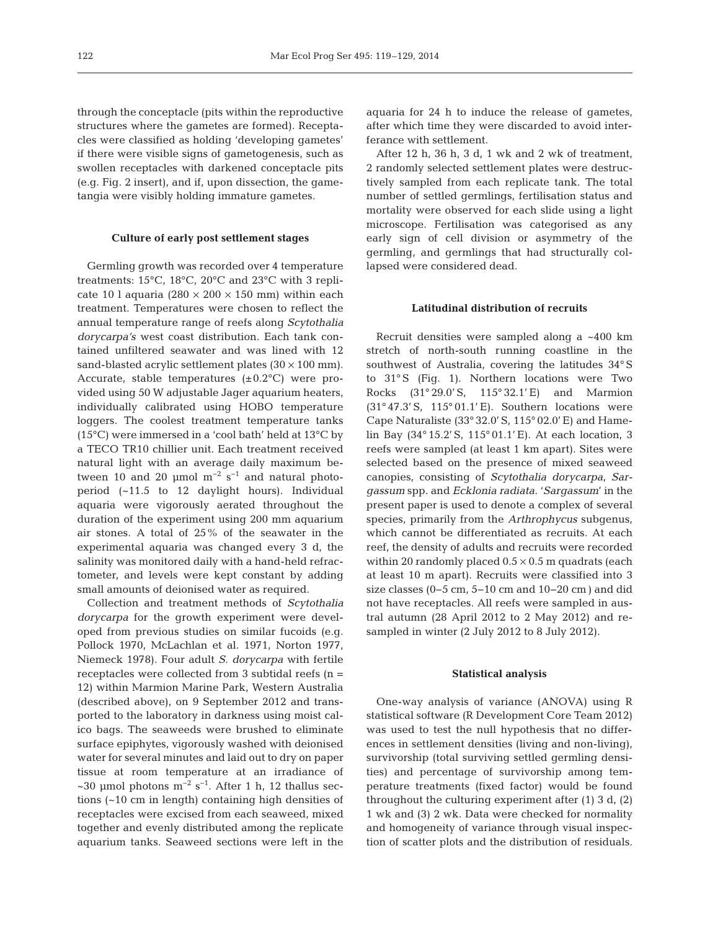through the conceptacle (pits within the reproductive structures where the gametes are formed). Receptacles were classified as holding 'developing gametes' if there were visible signs of gametogenesis, such as swollen receptacles with darkened conceptacle pits (e.g. Fig. 2 insert), and if, upon dissection, the game tangia were visibly holding immature gametes.

## **Culture of early post settlement stages**

Germling growth was recorded over 4 temperature treatments: 15°C, 18°C, 20°C and 23°C with 3 replicate 10 l aquaria ( $280 \times 200 \times 150$  mm) within each treatment. Temperatures were chosen to reflect the annual temperature range of reefs along *Scytothalia dorycarpa's* west coast distribution. Each tank contained unfiltered seawater and was lined with 12 sand-blasted acrylic settlement plates  $(30 \times 100 \text{ mm})$ . Accurate, stable temperatures  $(\pm 0.2^{\circ}C)$  were provided using 50 W adjustable Jager aquarium heaters, individually calibrated using HOBO temperature loggers. The coolest treatment temperature tanks (15°C) were immersed in a 'cool bath' held at 13°C by a TECO TR10 chillier unit. Each treatment received natural light with an average daily maximum be tween 10 and 20 µmol  $m^{-2}$  s<sup>-1</sup> and natural photoperiod (~11.5 to 12 daylight hours). Individual aquaria were vigorously aerated throughout the duration of the experiment using 200 mm aquarium air stones. A total of 25% of the seawater in the experimental aquaria was changed every 3 d, the salinity was monitored daily with a hand-held refractometer, and levels were kept constant by adding small amounts of deionised water as required.

Collection and treatment methods of *Scytothalia dorycarpa* for the growth experiment were developed from previous studies on similar fucoids (e.g. Pollock 1970, McLachlan et al. 1971, Norton 1977, Niemeck 1978). Four adult *S. dorycarpa* with fertile receptacles were collected from 3 subtidal reefs (n = 12) within Marmion Marine Park, Western Australia (described above), on 9 September 2012 and transported to the laboratory in darkness using moist calico bags. The seaweeds were brushed to eliminate surface epiphytes, vigorously washed with deionised water for several minutes and laid out to dry on paper tissue at room temperature at an irradiance of ~30 µmol photons  $m^{-2}$  s<sup>-1</sup>. After 1 h, 12 thallus sections (~10 cm in length) containing high densities of receptacles were excised from each seaweed, mixed together and evenly distributed among the replicate aquarium tanks. Seaweed sections were left in the

aquaria for 24 h to induce the release of gametes, after which time they were discarded to avoid interferance with settlement.

After 12 h, 36 h, 3 d, 1 wk and 2 wk of treatment, 2 randomly selected settlement plates were destructively sampled from each replicate tank. The total number of settled germlings, fertilisation status and mortality were observed for each slide using a light microscope. Fertilisation was categorised as any early sign of cell division or asymmetry of the germling, and germlings that had structurally collapsed were considered dead.

#### **Latitudinal distribution of recruits**

Recruit densities were sampled along a ~400 km stretch of north-south running coastline in the southwest of Australia, covering the latitudes 34° S to 31° S (Fig. 1). Northern locations were Two Rocks (31° 29.0' S, 115° 32.1' E) and Marmion (31° 47.3' S, 115° 01.1' E). Southern locations were Cape Naturaliste (33° 32.0' S, 115° 02.0' E) and Hame lin Bay (34° 15.2' S, 115° 01.1' E). At each location, 3 reefs were sampled (at least 1 km apart). Sites were selected based on the presence of mixed seaweed canopies, consisting of *Scytothalia dorycarpa*, *Sargassum* spp. and *Ecklonia radiata*. '*Sar gassum*' in the present paper is used to denote a complex of several species, primarily from the *Arthrophycus* subgenus, which cannot be differentiated as recruits. At each reef, the density of adults and recruits were recorded within 20 randomly placed  $0.5 \times 0.5$  m quadrats (each at least 10 m apart). Recruits were classified into 3 size classes  $(0-5 \text{ cm}, 5-10 \text{ cm} \text{ and } 10-20 \text{ cm})$  and did not have receptacles. All reefs were sampled in austral autumn (28 April 2012 to 2 May 2012) and resampled in winter (2 July 2012 to 8 July 2012).

#### **Statistical analysis**

One-way analysis of variance (ANOVA) using R statistical software (R Development Core Team 2012) was used to test the null hypothesis that no differences in settlement densities (living and non-living), survivorship (total surviving settled germling densities) and percentage of survivorship among temperature treatments (fixed factor) would be found throughout the culturing experiment after  $(1)$  3 d,  $(2)$ 1 wk and (3) 2 wk. Data were checked for normality and homogeneity of variance through visual inspection of scatter plots and the distribution of residuals.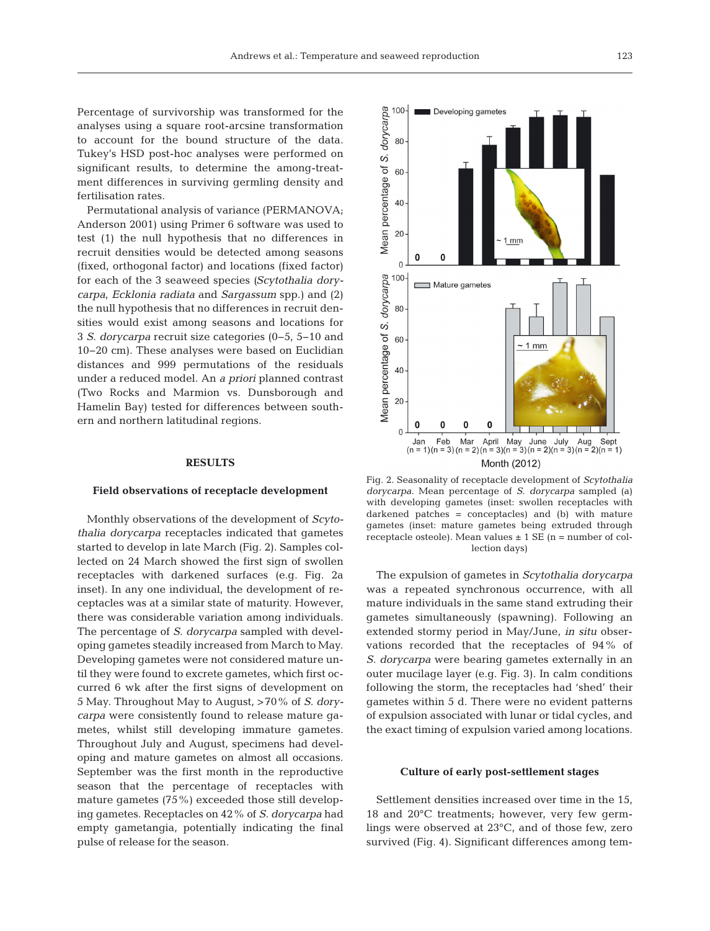Percentage of survivorship was transformed for the analyses using a square root-arcsine transformation to account for the bound structure of the data. Tukey's HSD post-hoc analyses were performed on significant results, to determine the among-treatment differences in surviving germling density and fertilisation rates.

Permutational analysis of variance (PERMANOVA; Anderson 2001) using Primer 6 software was used to test (1) the null hypothesis that no differences in recruit densities would be detected among seasons (fixed, orthogonal factor) and locations (fixed factor) for each of the 3 seaweed species *(Scytothalia dory carpa*, *Ecklonia radiata* and *Sargassum* spp.) and (2) the null hypothesis that no differences in recruit densities would exist among seasons and locations for 3 *S. dorycarpa* recruit size categories (0−5, 5−10 and 10−20 cm). These analyses were based on Euclidian distances and 999 permutations of the residuals under a reduced model. An *a priori* planned contrast (Two Rocks and Marmion vs. Dunsborough and Hamelin Bay) tested for differences between southern and northern latitudinal regions.

## **RESULTS**

#### **Field observations of receptacle development**

Monthly observations of the development of *Scyto thalia dorycarpa* receptacles indicated that gametes started to develop in late March (Fig. 2). Samples collected on 24 March showed the first sign of swollen receptacles with darkened surfaces (e.g. Fig. 2a inset). In any one individual, the development of receptacles was at a similar state of maturity. However, there was considerable variation among individuals. The percentage of *S. dorycarpa* sampled with developing gametes steadily increased from March to May. Developing gametes were not considered mature until they were found to excrete gametes, which first occurred 6 wk after the first signs of development on 5 May. Throughout May to August, >70% of *S. dory carpa* were consistently found to release mature gametes, whilst still developing immature gametes. Throughout July and August, specimens had developing and mature gametes on almost all occasions. September was the first month in the reproductive season that the percentage of receptacles with mature gametes (75%) exceeded those still developing gametes. Receptacles on 42% of *S. dorycarpa* had empty gametangia, potentially indicating the final pulse of release for the season.



Fig. 2. Seasonality of receptacle development of *Scytothalia dorycarpa*. Mean percentage of *S. dorycarpa* sampled (a) with developing gametes (inset: swollen receptacles with darkened patches = conceptacles) and (b) with mature gametes (inset: mature gametes being extruded through receptacle osteole). Mean values  $\pm$  1 SE (n = number of collection days)

The expulsion of gametes in *Scytothalia dorycarpa* was a repeated synchronous occurrence, with all mature individuals in the same stand extruding their gametes simultaneously (spawning). Following an extended stormy period in May/June, *in situ* observations recorded that the receptacles of 94% of *S. dorycarpa* were bearing gametes externally in an outer mucilage layer (e.g. Fig. 3). In calm conditions following the storm, the receptacles had 'shed' their gametes within 5 d. There were no evident patterns of expulsion associated with lunar or tidal cycles, and the exact timing of expulsion varied among locations.

# **Culture of early post-settlement stages**

Settlement densities increased over time in the 15,  $18$  and  $20^{\circ}$ C treatments; however, very few germlings were observed at 23°C, and of those few, zero survived (Fig. 4). Significant differences among tem-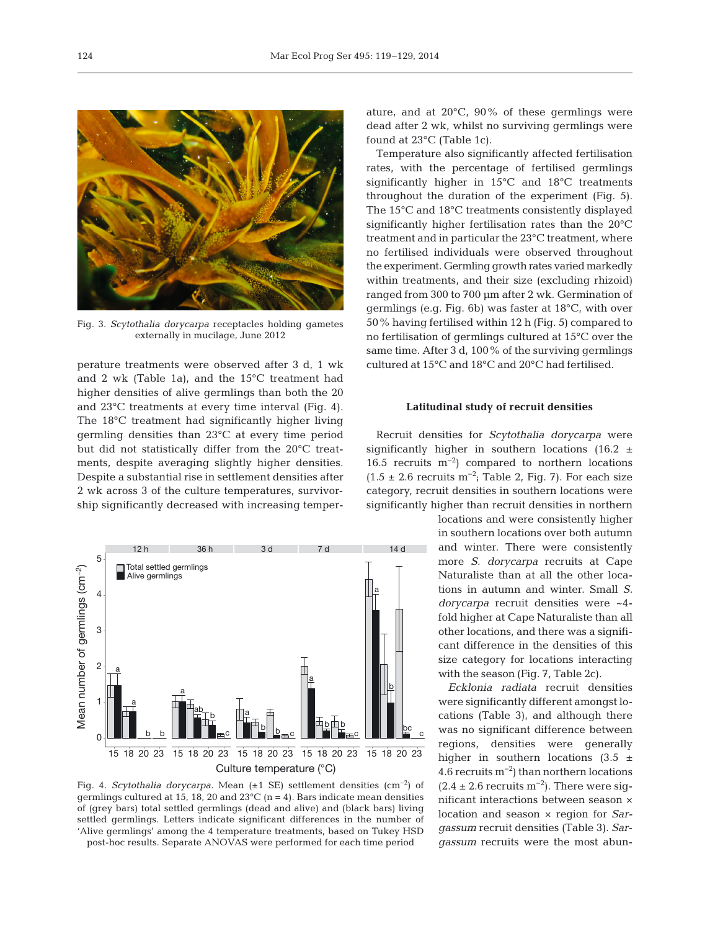

Fig. 3. *Scytothalia dorycarpa* receptacles holding gametes externally in mucilage, June 2012

perature treatments were observed after 3 d, 1 wk and 2 wk (Table 1a), and the 15°C treatment had higher densities of alive germlings than both the 20 and 23°C treatments at every time interval (Fig. 4). The 18°C treatment had significantly higher living germling densities than 23°C at every time period but did not statistically differ from the 20°C treatments, despite averaging slightly higher densities. Despite a substantial rise in settlement densities after 2 wk across 3 of the culture temperatures, survivorship significantly decreased with increasing temper-



Fig. 4. *Scytothalia dorycarpa.* Mean (±1 SE) settlement densities (cm−2) of germlings cultured at 15, 18, 20 and 23 $^{\circ}$ C (n = 4). Bars indicate mean densities of (grey bars) total settled germlings (dead and alive) and (black bars) living settled germlings. Letters indicate significant differences in the number of 'Alive germlings' among the 4 temperature treatments, based on Tukey HSD

post-hoc results. Separate ANOVAS were performed for each time period

ature, and at 20°C, 90% of these germlings were dead after 2 wk, whilst no surviving germlings were found at 23°C (Table 1c).

Temperature also significantly affected fertilisation rates, with the percentage of fertilised germlings significantly higher in  $15^{\circ}$ C and  $18^{\circ}$ C treatments throughout the duration of the experiment (Fig. 5). The 15°C and 18°C treatments consistently displayed significantly higher fertilisation rates than the 20°C treatment and in particular the 23°C treatment, where no fertilised individuals were observed throughout the experiment. Germling growth rates varied markedly within treatments, and their size (excluding rhizoid) ranged from 300 to 700 µm after 2 wk. Germination of germlings (e.g. Fig. 6b) was faster at 18°C, with over 50% having fertilised within 12 h (Fig. 5) compared to no fertilisation of germlings cultured at 15°C over the same time. After 3 d, 100% of the surviving germlings cultured at 15°C and 18°C and 20°C had fertilised.

#### **Latitudinal study of recruit densities**

Recruit densities for *Scytothalia dorycarpa* were significantly higher in southern locations (16.2  $\pm$ 16.5 recruits  $m^{-2}$ ) compared to northern locations  $(1.5 \pm 2.6$  recruits m<sup>-2</sup>; Table 2, Fig. 7). For each size category, recruit densities in southern locations were significantly higher than recruit densities in northern

> locations and were consistently higher in southern locations over both autumn and winter. There were consistently more *S. dorycarpa* recruits at Cape Naturaliste than at all the other locations in autumn and winter. Small *S. dory carpa* recruit densities were ~4 fold higher at Cape Naturaliste than all other locations, and there was a significant difference in the densities of this size category for locations interacting with the season (Fig. 7, Table 2c).

> *Ecklonia radiata* recruit densities were significantly different amongst locations (Table 3), and although there was no significant difference between regions, densities were generally higher in southern locations  $(3.5 \pm$ 4.6 recruits  $m^{-2}$ ) than northern locations  $(2.4 \pm 2.6$  recruits m<sup>-2</sup>). There were significant interactions between season  $\times$ location and season × region for *Sargassum* recruit densities (Table 3). *Sargassum* recruits were the most abun-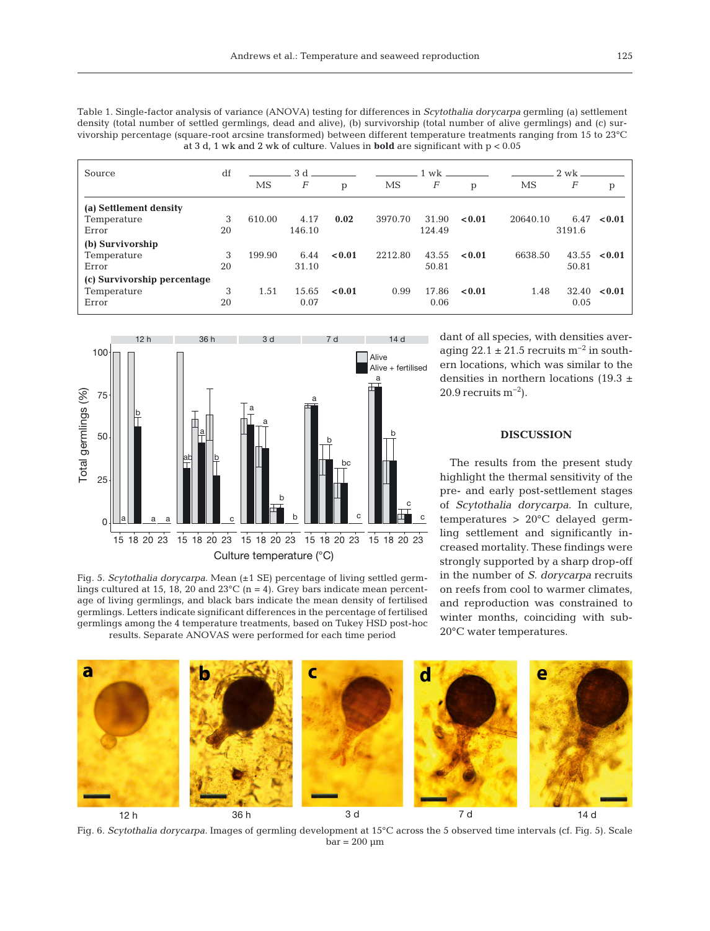| Table 1. Single-factor analysis of variance (ANOVA) testing for differences in <i>Scytothalia dorycarpa</i> germling (a) settlement |
|-------------------------------------------------------------------------------------------------------------------------------------|
| density (total number of settled germlings, dead and alive), (b) survivorship (total number of alive germlings) and (c) sur-        |
| vivorship percentage (square-root arcsine transformed) between different temperature treatments ranging from 15 to 23 °C            |
| at 3 d, 1 wk and 2 wk of culture. Values in <b>bold</b> are significant with $p < 0.05$                                             |

| Source                      | df | 3d.    |        |        | $1 \text{ wk}$ . |        |        |          | 2 wk.  |                  |  |
|-----------------------------|----|--------|--------|--------|------------------|--------|--------|----------|--------|------------------|--|
|                             |    | MS     | F      | p      | MS               | F      | p      | MS       | F      | p                |  |
| (a) Settlement density      |    |        |        |        |                  |        |        |          |        |                  |  |
| Temperature                 | 3  | 610.00 | 4.17   | 0.02   | 3970.70          | 31.90  | < 0.01 | 20640.10 | 6.47   | < 0.01           |  |
| Error                       | 20 |        | 146.10 |        |                  | 124.49 |        |          | 3191.6 |                  |  |
| (b) Survivorship            |    |        |        |        |                  |        |        |          |        |                  |  |
| Temperature                 | 3  | 199.90 | 6.44   | < 0.01 | 2212.80          | 43.55  | < 0.01 | 6638.50  |        | $43.55 \le 0.01$ |  |
| Error                       | 20 |        | 31.10  |        |                  | 50.81  |        |          | 50.81  |                  |  |
| (c) Survivorship percentage |    |        |        |        |                  |        |        |          |        |                  |  |
| Temperature                 | 3  | 1.51   | 15.65  | < 0.01 | 0.99             | 17.86  | < 0.01 | 1.48     |        | $32.40 \le 0.01$ |  |
| Error                       | 20 |        | 0.07   |        |                  | 0.06   |        |          | 0.05   |                  |  |



Fig. 5. *Scytothalia dorycarpa*. Mean (±1 SE) percentage of living settled germ lings cultured at 15, 18, 20 and  $23^{\circ}$ C (n = 4). Grey bars indicate mean percentage of living germlings, and black bars indicate the mean density of fertilised germlings. Letters indicate significant differences in the percentage of fertilised germlings among the 4 temperature treatments, based on Tukey HSD post-hoc results. Separate ANOVAS were performed for each time period

dant of all species, with densities averaging  $22.1 \pm 21.5$  recruits m<sup>-2</sup> in southern locations, which was similar to the densities in northern locations (19.3  $\pm$  $20.9$  recruits m<sup>-2</sup>).

# **DISCUSSION**

The results from the present study highlight the thermal sensitivity of the pre- and early post-settlement stages of *Scytothalia dorycarpa*. In culture, temperatures  $> 20^{\circ}$ C delayed germling settlement and significantly increased mortality. These findings were strongly supported by a sharp drop-off in the number of *S. dorycarpa* recruits on reefs from cool to warmer climates, and reproduction was constrained to winter months, coinciding with sub-20°C water temperatures.



Fig. 6. *Scytothalia dorycarpa.* Images of germling development at 15°C across the 5 observed time intervals (cf. Fig. 5). Scale  $bar = 200 \mu m$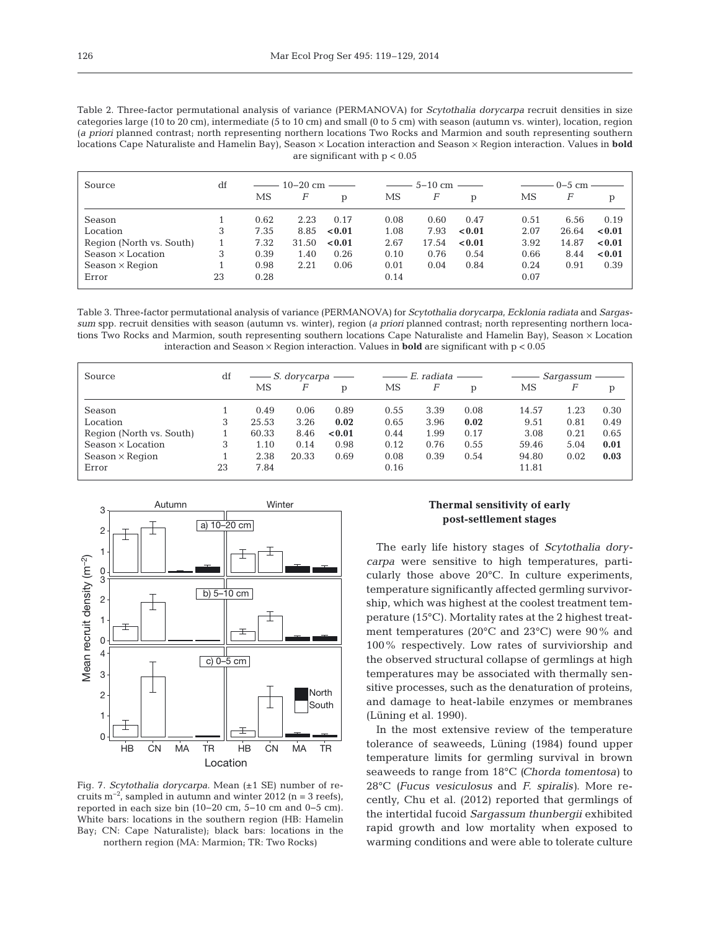Table 2. Three-factor permutational analysis of variance (PERMANOVA) for *Scytothalia dorycarpa* recruit densities in size categories large (10 to 20 cm), intermediate (5 to 10 cm) and small (0 to 5 cm) with season (autumn vs. winter), location, region (*a priori* planned contrast; north representing northern locations Two Rocks and Marmion and south representing southern locations Cape Naturaliste and Hamelin Bay), Season × Location interaction and Season × Region interaction. Values in **bold** are significant with  $p < 0.05$ 

| Source                   | df | $10-20$ cm $-$ |       |              | $5-10$ cm |       |        | $0-5$ cm |       |        |
|--------------------------|----|----------------|-------|--------------|-----------|-------|--------|----------|-------|--------|
|                          |    | MS             | F     | $\mathbf{p}$ | МS        | F     | p      | MS       | F     | p      |
| Season                   |    | 0.62           | 2.23  | 0.17         | 0.08      | 0.60  | 0.47   | 0.51     | 6.56  | 0.19   |
| Location                 | 3  | 7.35           | 8.85  | < 0.01       | 1.08      | 7.93  | < 0.01 | 2.07     | 26.64 | < 0.01 |
| Region (North vs. South) |    | 7.32           | 31.50 | < 0.01       | 2.67      | 17.54 | < 0.01 | 3.92     | 14.87 | < 0.01 |
| Season $\times$ Location | 3  | 0.39           | 1.40  | 0.26         | 0.10      | 0.76  | 0.54   | 0.66     | 8.44  | < 0.01 |
| $Season \times Region$   |    | 0.98           | 2.21  | 0.06         | 0.01      | 0.04  | 0.84   | 0.24     | 0.91  | 0.39   |
| Error                    | 23 | 0.28           |       |              | 0.14      |       |        | 0.07     |       |        |

Table 3. Three-factor permutational analysis of variance (PERMANOVA) for *Scytothalia dorycarpa*, *Ecklonia radiata* and *Sargassum* spp. recruit densities with season (autumn vs. winter), region (*a priori* planned contrast; north representing northern locations Two Rocks and Marmion, south representing southern locations Cape Naturaliste and Hamelin Bay), Season × Location interaction and Season × Region interaction. Values in **bold** are significant with p < 0.05

| Source                   | df | $\longrightarrow S$ . dorycarpa |       |        | —— E. radiata |      |      | Sarqassum |      |      |
|--------------------------|----|---------------------------------|-------|--------|---------------|------|------|-----------|------|------|
|                          |    | MS                              | F     | D      | МS            | F    | D    | MS        | F    | p    |
| Season                   |    | 0.49                            | 0.06  | 0.89   | 0.55          | 3.39 | 0.08 | 14.57     | 1.23 | 0.30 |
| Location                 | 3  | 25.53                           | 3.26  | 0.02   | 0.65          | 3.96 | 0.02 | 9.51      | 0.81 | 0.49 |
| Region (North vs. South) |    | 60.33                           | 8.46  | < 0.01 | 0.44          | 1.99 | 0.17 | 3.08      | 0.21 | 0.65 |
| Season x Location        | 3  | 1.10                            | 0.14  | 0.98   | 0.12          | 0.76 | 0.55 | 59.46     | 5.04 | 0.01 |
| $Season \times Region$   |    | 2.38                            | 20.33 | 0.69   | 0.08          | 0.39 | 0.54 | 94.80     | 0.02 | 0.03 |
| Error                    | 23 | 7.84                            |       |        | 0.16          |      |      | 11.81     |      |      |



Fig. 7. *Scytothalia dorycarpa.* Mean (±1 SE) number of re cruits m<sup>-2</sup>, sampled in autumn and winter 2012 (n = 3 reefs), reported in each size bin (10−20 cm, 5−10 cm and 0−5 cm). White bars: locations in the southern region (HB: Hamelin Bay; CN: Cape Naturaliste); black bars: locations in the northern region (MA: Marmion; TR: Two Rocks)

# **Thermal sensitivity of early post-settlement stages**

The early life history stages of *Scytothalia dory carpa* were sensitive to high temperatures, particularly those above 20°C. In culture experiments, temperature significantly affected germling survivorship, which was highest at the coolest treatment temperature (15°C). Mortality rates at the 2 highest treatment temperatures (20°C and 23°C) were 90% and 100% respectively. Low rates of surviviorship and the observed structural collapse of germlings at high temperatures may be associated with thermally sensitive processes, such as the denaturation of proteins, and damage to heat-labile enzymes or membranes (Lüning et al. 1990).

In the most extensive review of the temperature tolerance of seaweeds, Lüning (1984) found upper temperature limits for germling survival in brown seaweeds to range from 18°C *(Chorda tomentosa)* to 28°C *(Fucus vesiculosus* and *F. spiralis)*. More re cently, Chu et al. (2012) reported that germlings of the intertidal fucoid *Sargassum thunbergii* exhibited rapid growth and low mortality when exposed to warming conditions and were able to tolerate culture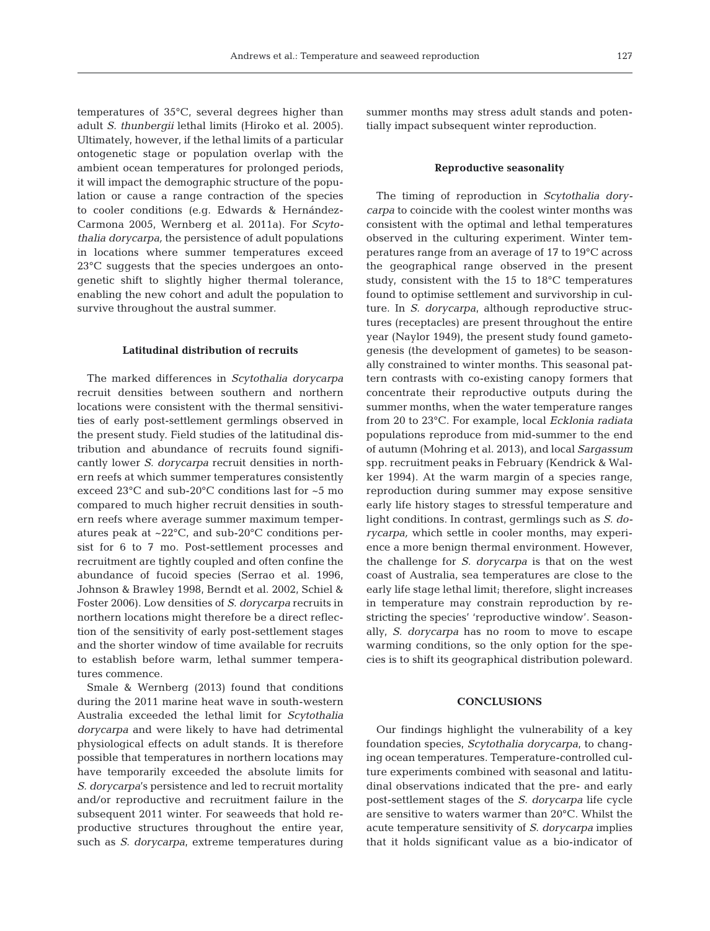temperatures of 35°C, several degrees higher than adult *S. thunbergii* lethal limits (Hiroko et al. 2005). Ultimately, however, if the lethal limits of a particular ontogenetic stage or population overlap with the ambient ocean temperatures for prolonged periods, it will impact the demographic structure of the population or cause a range contraction of the species to cooler conditions (e.g. Edwards & Hernández-Carmona 2005, Wernberg et al. 2011a). For *Scyto thalia dorycarpa,* the persistence of adult populations in locations where summer temperatures exceed 23<sup>°</sup>C suggests that the species undergoes an ontogenetic shift to slightly higher thermal tolerance, enabling the new cohort and adult the population to survive throughout the austral summer.

#### **Latitudinal distribution of recruits**

The marked differences in *Scytothalia dorycarpa* recruit densities between southern and northern locations were consistent with the thermal sensitivities of early post-settlement germlings observed in the present study. Field studies of the latitudinal distribution and abundance of recruits found significantly lower *S. dorycarpa* recruit densities in northern reefs at which summer temperatures consistently exceed 23°C and sub-20°C conditions last for ~5 mo compared to much higher recruit densities in southern reefs where average summer maximum temperatures peak at ~22°C, and sub-20°C conditions persist for 6 to 7 mo. Post-settlement processes and recruitment are tightly coupled and often confine the abundance of fucoid species (Serrao et al. 1996, Johnson & Brawley 1998, Berndt et al. 2002, Schiel & Foster 2006). Low densities of *S. dorycarpa* recruits in northern locations might therefore be a direct reflection of the sensitivity of early post-settlement stages and the shorter window of time available for recruits to establish before warm, lethal summer temperatures commence.

Smale & Wernberg (2013) found that conditions during the 2011 marine heat wave in south-western Australia exceeded the lethal limit for *Scytothalia dorycarpa* and were likely to have had detrimental physiological effects on adult stands. It is therefore possible that temperatures in northern locations may have temporarily exceeded the absolute limits for *S. dorycarpa*'s persistence and led to recruit mortality and/or reproductive and recruitment failure in the subsequent 2011 winter. For seaweeds that hold reproductive structures throughout the entire year, such as *S. dorycarpa*, extreme temperatures during

summer months may stress adult stands and potentially impact subsequent winter reproduction.

#### **Reproductive seasonality**

The timing of reproduction in *Scytothalia dory carpa* to coincide with the coolest winter months was consistent with the optimal and lethal temperatures observed in the culturing experiment. Winter temperatures range from an average of 17 to 19°C across the geographical range observed in the present study, consistent with the 15 to 18°C temperatures found to optimise settlement and survivorship in culture. In *S. dorycarpa*, although reproductive structures (receptacles) are present throughout the entire year (Naylor 1949), the present study found gametogenesis (the development of gametes) to be seasonally constrained to winter months. This seasonal pattern contrasts with co-existing canopy formers that concentrate their reproductive outputs during the summer months, when the water temperature ranges from 20 to 23°C. For example, local *Ecklonia radiata* populations reproduce from mid-summer to the end of autumn (Mohring et al. 2013), and local *Sargassum* spp. recruitment peaks in February (Kendrick & Wal ker 1994). At the warm margin of a species range, reproduction during summer may expose sensitive early life history stages to stressful temperature and light conditions. In contrast, germlings such as *S. do rycarpa,* which settle in cooler months, may experience a more benign thermal environment. However, the challenge for *S. dorycarpa* is that on the west coast of Australia, sea temperatures are close to the early life stage lethal limit; therefore, slight increases in temperature may constrain reproduction by restricting the species' 'reproductive window'. Seasonally, *S. dorycarpa* has no room to move to escape warming conditions, so the only option for the species is to shift its geographical distribution poleward.

#### **CONCLUSIONS**

Our findings highlight the vulnerability of a key foundation species, *Scytothalia dorycarpa*, to changing ocean temperatures. Temperature-controlled culture experiments combined with seasonal and latitudinal observations indicated that the pre- and early post-settlement stages of the *S. dorycarpa* life cycle are sensitive to waters warmer than 20°C. Whilst the acute temperature sensitivity of *S. dorycarpa* implies that it holds significant value as a bio-indicator of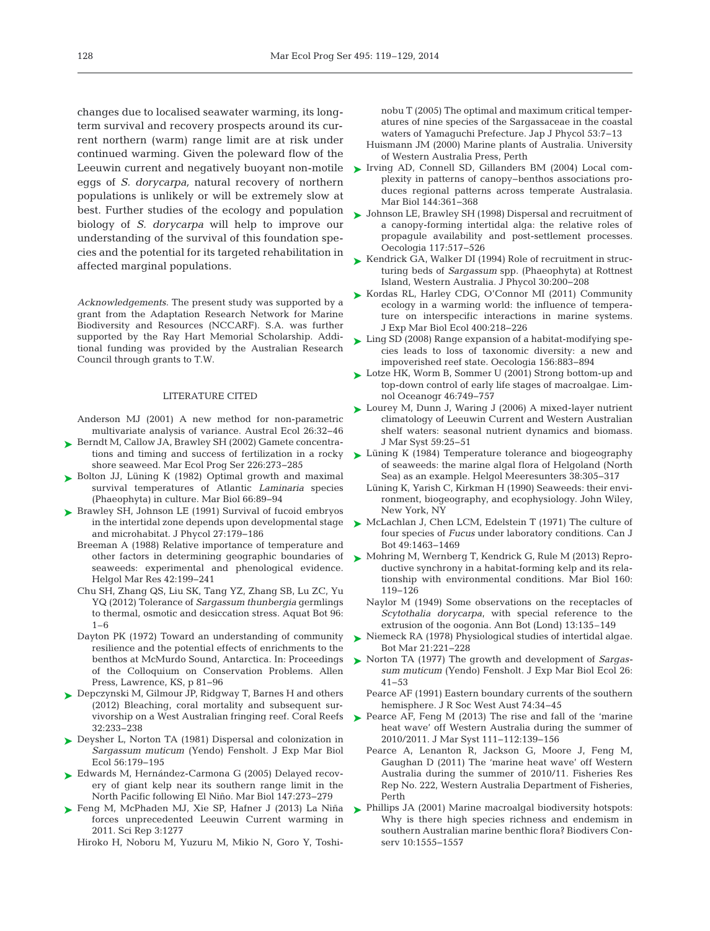changes due to localised seawater warming, its longterm survival and recovery prospects around its current northern (warm) range limit are at risk under continued warming. Given the poleward flow of the Leeuwin current and negatively buoyant non-motile eggs of *S. dorycarpa,* natural recovery of northern populations is unlikely or will be extremely slow at best. Further studies of the ecology and population biology of *S. dorycarpa* will help to improve our understanding of the survival of this foundation species and the potential for its targeted rehabilitation in affected marginal populations.

*Acknowledgements*. The present study was supported by a grant from the Adaptation Research Network for Marine Biodiversity and Resources (NCCARF). S.A. was further supported by the Ray Hart Memorial Scholarship. Additional funding was provided by the Australian Research Council through grants to T.W.

# LITERATURE CITED

Anderson MJ (2001) A new method for non-parametric multivariate analysis of variance. Austral Ecol 26:32-46

- ► [Berndt M, Callow JA, Brawley SH \(2002\) Gamete concentra](http://dx.doi.org/10.3354/meps226273)tions and timing and success of fertilization in a rocky shore seaweed. Mar Ecol Prog Ser 226:273-285
- ▶ [Bolton JJ, Lüning K \(1982\) Optimal growth and maximal](http://dx.doi.org/10.1007/BF00397259) survival temperatures of Atlantic *Laminaria* species (Phaeophyta) in culture. Mar Biol 66: 89−94
- ► [Brawley SH, Johnson LE \(1991\) Survival of fucoid embryos](http://dx.doi.org/10.1080/00071619200650241) in the intertidal zone depends upon developmental stage and microhabitat. J Phycol 27: 179−186
	- Breeman A (1988) Relative importance of temperature and other factors in determining geographic boundaries of seaweeds: experimental and phenological evidence. Helgol Mar Res 42: 199−241
	- Chu SH, Zhang QS, Liu SK, Tang YZ, Zhang SB, Lu ZC, Yu YQ (2012) Tolerance of *Sargassum thunbergia* germlings to thermal, osmotic and desiccation stress. Aquat Bot 96: 1–6
	- Dayton PK (1972) Toward an understanding of community resilience and the potential effects of enrichments to the benthos at McMurdo Sound, Antarctica. In: Proceedings of the Colloquium on Conservation Problems. Allen Press, Lawrence, KS, p 81−96
- ► [Depczynski M, Gilmour JP, Ridgway T, Barnes H and others](http://dx.doi.org/10.1007/s00338-012-0974-0) (2012) Bleaching, coral mortality and subsequent survivorship on a West Australian fringing reef. Coral Reefs 32: 233−238
- ▶ [Deysher L, Norton TA \(1981\) Dispersal and colonization in](http://dx.doi.org/10.1016/0022-0981(81)90188-X) *Sargassum muticum* (Yendo) Fensholt. J Exp Mar Biol Ecol 56: 179−195
- ► [Edwards M, Hernández-Carmona G \(2005\) Delayed recov](http://dx.doi.org/10.1007/s00227-004-1548-7)ery of giant kelp near its southern range limit in the North Pacific following El Niño. Mar Biol 147:273-279
- [Feng M, McPhaden MJ, Xie SP, Hafner J \(2013\) La Niña](http://www.ncbi.nlm.nih.gov/entrez/query.fcgi?cmd=Retrieve&db=PubMed&list_uids=23429502&dopt=Abstract) ➤ forces unprecedented Leeuwin Current warming in 2011. Sci Rep 3: 1277

Hiroko H, Noboru M, Yuzuru M, Mikio N, Goro Y, Toshi-

nobu T (2005) The optimal and maximum critical temperatures of nine species of the Sargassaceae in the coastal waters of Yamaguchi Prefecture. Jap J Phycol 53:7-13

- Huismann JM (2000) Marine plants of Australia. University of Western Australia Press, Perth
- ▶ [Irving AD, Connell SD, Gillanders BM \(2004\) Local com](http://dx.doi.org/10.1007/s00227-003-1202-9)plexity in patterns of canopy−benthos associations produces regional patterns across temperate Australasia. Mar Biol 144:361-368
- [Johnson LE, Brawley SH \(1998\) Dispersal and recruitment of](http://dx.doi.org/10.1007/s004420050688) ➤ a canopy-forming intertidal alga: the relative roles of propagule availability and post-settlement processes. Oecologia 117:517-526
- ► [Kendrick GA, Walker DI \(1994\) Role of recruitment in struc](http://dx.doi.org/10.1111/j.0022-3646.1994.00200.x)turing beds of *Sargassum* spp. (Phaeophyta) at Rottnest Island, Western Australia. J Phycol 30: 200−208
- ► [Kordas RL, Harley CDG, O'Connor MI \(2011\) Community](http://dx.doi.org/10.1016/j.jembe.2011.02.029) ecology in a warming world: the influence of temperature on interspecific interactions in marine systems. J Exp Mar Biol Ecol 400: 218−226
- [Ling SD \(2008\) Range expansion of a habitat-modifying spe-](http://dx.doi.org/10.1007/s00442-008-1043-9)➤ cies leads to loss of taxonomic diversity: a new and impoverished reef state. Oecologia 156: 883−894
- [Lotze HK, Worm B, Sommer U \(2001\) Strong bottom-up and](http://dx.doi.org/10.4319/lo.2001.46.4.0749) ➤ top-down control of early life stages of macroalgae. Limnol Oceanogr 46: 749−757
- ► [Lourey M, Dunn J, Waring J \(2006\) A mixed-layer nutrient](http://dx.doi.org/10.1016/j.jmarsys.2005.10.001) climatology of Leeuwin Current and Western Australian shelf waters: seasonal nutrient dynamics and biomass. J Mar Syst 59:25-51
- ► [Lüning K \(1984\) Temperature tolerance and biogeography](http://dx.doi.org/10.1007/BF01997486) of seaweeds: the marine algal flora of Helgoland (North Sea) as an example. Helgol Meeresunters 38:305–317
	- Lüning K, Yarish C, Kirkman H (1990) Seaweeds: their environment, biogeography, and ecophysiology. John Wiley, New York, NY
- ▶ [McLachlan J, Chen LCM, Edelstein T \(1971\) The culture of](http://dx.doi.org/10.1139/b71-206) four species of *Fucus* under laboratory conditions. Can J Bot 49: 1463−1469
- [Mohring M, Wernberg T, Kendrick G, Rule M \(2013\) Repro-](http://dx.doi.org/10.1007/s00227-012-2068-5)➤ ductive synchrony in a habitat-forming kelp and its relationship with environmental conditions. Mar Biol 160: 119−126
	- Naylor M (1949) Some observations on the receptacles of *Scytothalia dorycarpa*, with special reference to the extrusion of the oogonia. Ann Bot (Lond) 13:135-149
- ► [Niemeck RA \(1978\) Physiological studies of intertidal algae.](http://dx.doi.org/10.1515/botm.1978.21.4.221) Bot Mar 21:221-228
- [Norton TA \(1977\) The growth and development of](http://dx.doi.org/10.1016/0022-0981(77)90079-X) *Sargas-*➤ *sum muticum* (Yendo) Fensholt. J Exp Mar Biol Ecol 26: 41−53
	- Pearce AF (1991) Eastern boundary currents of the southern hemisphere. J R Soc West Aust 74:34-45
- ▶ [Pearce AF, Feng M \(2013\) The rise and fall of the 'marine](http://dx.doi.org/10.1016/j.jmarsys.2012.10.009) heat wave' off Western Australia during the summer of 2010/2011. J Mar Syst 111−112: 139−156
	- Pearce A, Lenanton R, Jackson G, Moore J, Feng M, Gaughan D (2011) The 'marine heat wave' off Western Australia during the summer of 2010/11. Fisheries Res Rep No. 222, Western Australia Department of Fisheries, Perth
- [Phillips JA \(2001\) Marine macroalgal biodiversity hotspots:](http://dx.doi.org/10.1023/A:1011813627613)  ➤Why is there high species richness and endemism in southern Australian marine benthic flora? Biodivers Conserv 10:1555-1557